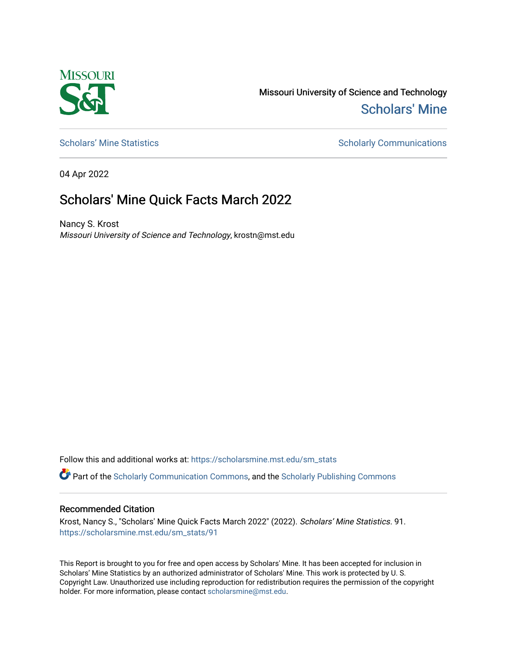

Missouri University of Science and Technology [Scholars' Mine](https://scholarsmine.mst.edu/) 

[Scholars' Mine Statistics](https://scholarsmine.mst.edu/sm_stats) Scholarly Communications

04 Apr 2022

## Scholars' Mine Quick Facts March 2022

Nancy S. Krost Missouri University of Science and Technology, krostn@mst.edu

Follow this and additional works at: [https://scholarsmine.mst.edu/sm\\_stats](https://scholarsmine.mst.edu/sm_stats?utm_source=scholarsmine.mst.edu%2Fsm_stats%2F91&utm_medium=PDF&utm_campaign=PDFCoverPages) 

Part of the [Scholarly Communication Commons,](http://network.bepress.com/hgg/discipline/1272?utm_source=scholarsmine.mst.edu%2Fsm_stats%2F91&utm_medium=PDF&utm_campaign=PDFCoverPages) and the [Scholarly Publishing Commons](http://network.bepress.com/hgg/discipline/1273?utm_source=scholarsmine.mst.edu%2Fsm_stats%2F91&utm_medium=PDF&utm_campaign=PDFCoverPages)

## Recommended Citation

Krost, Nancy S., "Scholars' Mine Quick Facts March 2022" (2022). Scholars' Mine Statistics. 91. [https://scholarsmine.mst.edu/sm\\_stats/91](https://scholarsmine.mst.edu/sm_stats/91?utm_source=scholarsmine.mst.edu%2Fsm_stats%2F91&utm_medium=PDF&utm_campaign=PDFCoverPages)

This Report is brought to you for free and open access by Scholars' Mine. It has been accepted for inclusion in Scholars' Mine Statistics by an authorized administrator of Scholars' Mine. This work is protected by U. S. Copyright Law. Unauthorized use including reproduction for redistribution requires the permission of the copyright holder. For more information, please contact [scholarsmine@mst.edu.](mailto:scholarsmine@mst.edu)